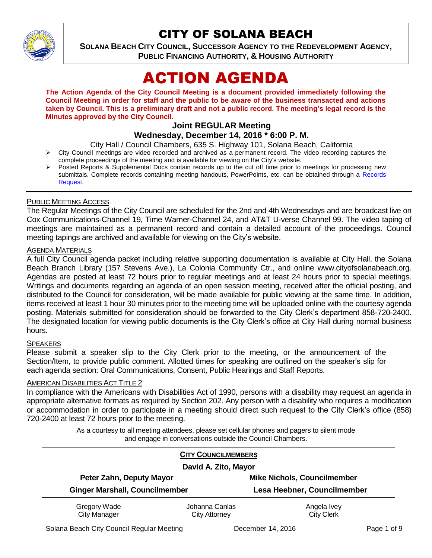

## CITY OF SOLANA BEACH

**SOLANA BEACH CITY COUNCIL, SUCCESSOR AGENCY TO THE REDEVELOPMENT AGENCY, PUBLIC FINANCING AUTHORITY, & HOUSING AUTHORITY** 

# ACTION AGENDA

**The Action Agenda of the City Council Meeting is a document provided immediately following the Council Meeting in order for staff and the public to be aware of the business transacted and actions taken by Council. This is a preliminary draft and not a public record. The meeting's legal record is the Minutes approved by the City Council.**

#### **Joint REGULAR Meeting**

#### **Wednesday, December 14, 2016 \* 6:00 P. M.**

City Hall / Council Chambers, 635 S. Highway 101, Solana Beach, California

- $\triangleright$  City Council meetings are video recorded and archived as a permanent record. The video recording captures the complete proceedings of the meeting and is available for viewing on the City's website.
- Posted Reports & Supplemental Docs contain records up to the cut off time prior to meetings for processing new submittals. Complete records containing meeting handouts, PowerPoints, etc. can be obtained through a Records [Request.](http://www.ci.solana-beach.ca.us/index.asp?SEC=F5D45D10-70CE-4291-A27C-7BD633FC6742&Type=B_BASIC)

#### PUBLIC MEETING ACCESS

The Regular Meetings of the City Council are scheduled for the 2nd and 4th Wednesdays and are broadcast live on Cox Communications-Channel 19, Time Warner-Channel 24, and AT&T U-verse Channel 99. The video taping of meetings are maintained as a permanent record and contain a detailed account of the proceedings. Council meeting tapings are archived and available for viewing on the City's website.

#### **AGENDA MATERIALS**

A full City Council agenda packet including relative supporting documentation is available at City Hall, the Solana Beach Branch Library (157 Stevens Ave.), La Colonia Community Ctr., and online www.cityofsolanabeach.org. Agendas are posted at least 72 hours prior to regular meetings and at least 24 hours prior to special meetings. Writings and documents regarding an agenda of an open session meeting, received after the official posting, and distributed to the Council for consideration, will be made available for public viewing at the same time. In addition, items received at least 1 hour 30 minutes prior to the meeting time will be uploaded online with the courtesy agenda posting. Materials submitted for consideration should be forwarded to the City Clerk's department 858-720-2400. The designated location for viewing public documents is the City Clerk's office at City Hall during normal business hours.

#### **SPEAKERS**

Please submit a speaker slip to the City Clerk prior to the meeting, or the announcement of the Section/Item, to provide public comment. Allotted times for speaking are outlined on the speaker's slip for each agenda section: Oral Communications, Consent, Public Hearings and Staff Reports.

#### **AMERICAN DISABILITIES ACT TITLE 2**

In compliance with the Americans with Disabilities Act of 1990, persons with a disability may request an agenda in appropriate alternative formats as required by Section 202. Any person with a disability who requires a modification or accommodation in order to participate in a meeting should direct such request to the City Clerk's office (858) 720-2400 at least 72 hours prior to the meeting.

> As a courtesy to all meeting attendees, please set cellular phones and pagers to silent mode and engage in conversations outside the Council Chambers.

| <b>CITY COUNCILMEMBERS</b>            |                                        |                                    |
|---------------------------------------|----------------------------------------|------------------------------------|
| David A. Zito, Mayor                  |                                        |                                    |
| Peter Zahn, Deputy Mayor              |                                        | <b>Mike Nichols, Councilmember</b> |
| <b>Ginger Marshall, Councilmember</b> |                                        | Lesa Heebner, Councilmember        |
| Gregory Wade<br><b>City Manager</b>   | Johanna Canlas<br><b>City Attorney</b> | Angela Ivey<br><b>City Clerk</b>   |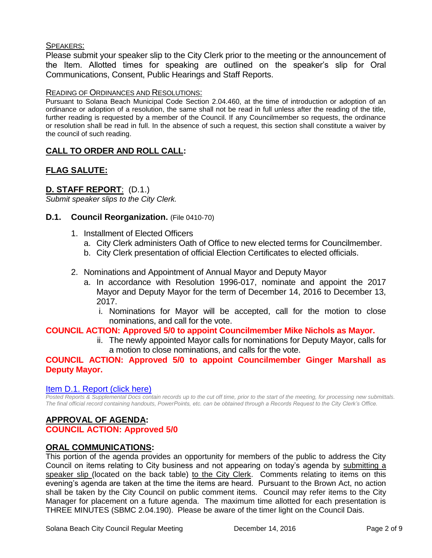#### SPEAKERS:

Please submit your speaker slip to the City Clerk prior to the meeting or the announcement of the Item. Allotted times for speaking are outlined on the speaker's slip for Oral Communications, Consent, Public Hearings and Staff Reports.

#### READING OF ORDINANCES AND RESOLUTIONS:

Pursuant to Solana Beach Municipal Code Section 2.04.460, at the time of introduction or adoption of an ordinance or adoption of a resolution, the same shall not be read in full unless after the reading of the title, further reading is requested by a member of the Council. If any Councilmember so requests, the ordinance or resolution shall be read in full. In the absence of such a request, this section shall constitute a waiver by the council of such reading.

#### **CALL TO ORDER AND ROLL CALL:**

#### **FLAG SALUTE:**

#### **D. STAFF REPORT**: (D.1.)

*Submit speaker slips to the City Clerk.*

#### **D.1. Council Reorganization.** (File 0410-70)

- 1. Installment of Elected Officers
	- a. City Clerk administers Oath of Office to new elected terms for Councilmember.
	- b. City Clerk presentation of official Election Certificates to elected officials.
- 2. Nominations and Appointment of Annual Mayor and Deputy Mayor
	- a. In accordance with Resolution 1996-017, nominate and appoint the 2017 Mayor and Deputy Mayor for the term of December 14, 2016 to December 13, 2017.
		- i. Nominations for Mayor will be accepted, call for the motion to close nominations, and call for the vote.

#### **COUNCIL ACTION: Approved 5/0 to appoint Councilmember Mike Nichols as Mayor.**

ii. The newly appointed Mayor calls for nominations for Deputy Mayor, calls for a motion to close nominations, and calls for the vote.

#### **COUNCIL ACTION: Approved 5/0 to appoint Councilmember Ginger Marshall as Deputy Mayor.**

#### [Item D.1. Report \(click here\)](https://solanabeach.govoffice3.com/vertical/Sites/%7B840804C2-F869-4904-9AE3-720581350CE7%7D/uploads/Item_D.1._Report_(click_here)_-_12-14-2016.PDF)

*Posted Reports & Supplemental Docs contain records up to the cut off time, prior to the start of the meeting, for processing new submittals. The final official record containing handouts, PowerPoints, etc. can be obtained through a Records Request to the City Clerk's Office.*

### **APPROVAL OF AGENDA:**

#### **COUNCIL ACTION: Approved 5/0**

#### **ORAL COMMUNICATIONS:**

This portion of the agenda provides an opportunity for members of the public to address the City Council on items relating to City business and not appearing on today's agenda by submitting a speaker slip (located on the back table) to the City Clerk. Comments relating to items on this evening's agenda are taken at the time the items are heard. Pursuant to the Brown Act, no action shall be taken by the City Council on public comment items. Council may refer items to the City Manager for placement on a future agenda. The maximum time allotted for each presentation is THREE MINUTES (SBMC 2.04.190). Please be aware of the timer light on the Council Dais.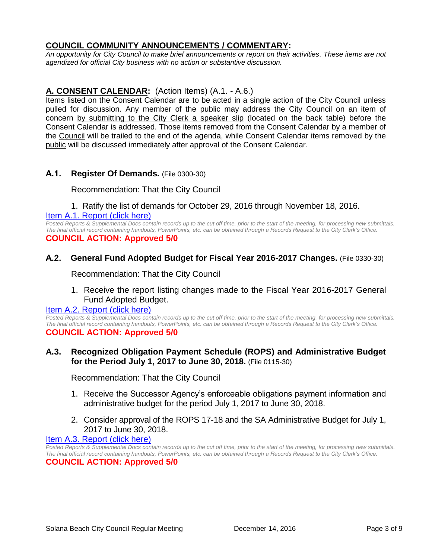#### **COUNCIL COMMUNITY ANNOUNCEMENTS / COMMENTARY:**

*An opportunity for City Council to make brief announcements or report on their activities. These items are not agendized for official City business with no action or substantive discussion.* 

#### **A. CONSENT CALENDAR:** (Action Items) (A.1. - A.6.)

Items listed on the Consent Calendar are to be acted in a single action of the City Council unless pulled for discussion. Any member of the public may address the City Council on an item of concern by submitting to the City Clerk a speaker slip (located on the back table) before the Consent Calendar is addressed. Those items removed from the Consent Calendar by a member of the Council will be trailed to the end of the agenda, while Consent Calendar items removed by the public will be discussed immediately after approval of the Consent Calendar.

#### **A.1. Register Of Demands.** (File 0300-30)

Recommendation: That the City Council

#### 1. Ratify the list of demands for October 29, 2016 through November 18, 2016.

#### [Item A.1. Report \(click here\)](https://solanabeach.govoffice3.com/vertical/Sites/%7B840804C2-F869-4904-9AE3-720581350CE7%7D/uploads/Item_A.1._Report_(click_here)_-_12-14-16.PDF)

*Posted Reports & Supplemental Docs contain records up to the cut off time, prior to the start of the meeting, for processing new submittals. The final official record containing handouts, PowerPoints, etc. can be obtained through a Records Request to the City Clerk's Office.* **COUNCIL ACTION: Approved 5/0**

#### **A.2. General Fund Adopted Budget for Fiscal Year 2016-2017 Changes.** (File 0330-30)

Recommendation: That the City Council

1. Receive the report listing changes made to the Fiscal Year 2016-2017 General Fund Adopted Budget.

#### [Item A.2. Report \(click here\)](https://solanabeach.govoffice3.com/vertical/Sites/%7B840804C2-F869-4904-9AE3-720581350CE7%7D/uploads/Item_A.2._Report_(click_here)_-_12-14-16.PDF)

Posted Reports & Supplemental Docs contain records up to the cut off time, prior to the start of the meeting, for processing new submittals. *The final official record containing handouts, PowerPoints, etc. can be obtained through a Records Request to the City Clerk's Office.* **COUNCIL ACTION: Approved 5/0**

#### **A.3. Recognized Obligation Payment Schedule (ROPS) and Administrative Budget for the Period July 1, 2017 to June 30, 2018.** (File 0115-30)

Recommendation: That the City Council

- 1. Receive the Successor Agency's enforceable obligations payment information and administrative budget for the period July 1, 2017 to June 30, 2018.
- 2. Consider approval of the ROPS 17-18 and the SA Administrative Budget for July 1, 2017 to June 30, 2018.

#### [Item A.3. Report \(click here\)](https://solanabeach.govoffice3.com/vertical/Sites/%7B840804C2-F869-4904-9AE3-720581350CE7%7D/uploads/Item_A.3._Report_(click_here)_-_12-14-16.pdf)

*Posted Reports & Supplemental Docs contain records up to the cut off time, prior to the start of the meeting, for processing new submittals. The final official record containing handouts, PowerPoints, etc. can be obtained through a Records Request to the City Clerk's Office.* **COUNCIL ACTION: Approved 5/0**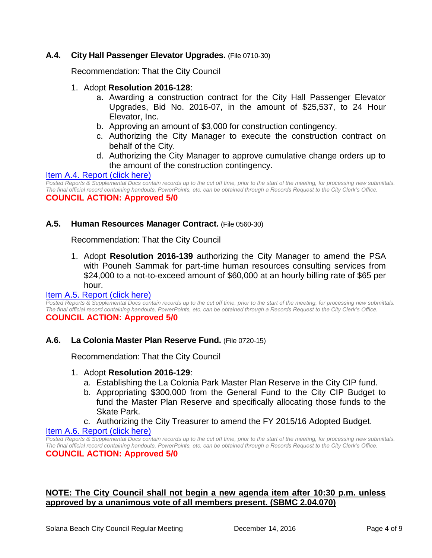#### **A.4. City Hall Passenger Elevator Upgrades.** (File 0710-30)

Recommendation: That the City Council

#### 1. Adopt **Resolution 2016-128**:

- a. Awarding a construction contract for the City Hall Passenger Elevator Upgrades, Bid No. 2016-07, in the amount of \$25,537, to 24 Hour Elevator, Inc.
- b. Approving an amount of \$3,000 for construction contingency.
- c. Authorizing the City Manager to execute the construction contract on behalf of the City.
- d. Authorizing the City Manager to approve cumulative change orders up to the amount of the construction contingency.

#### Item A.4. [Report \(click here\)](https://solanabeach.govoffice3.com/vertical/Sites/%7B840804C2-F869-4904-9AE3-720581350CE7%7D/uploads/Item_A.4._Report_(click_here)_-_12-14-16.PDF)

*Posted Reports & Supplemental Docs contain records up to the cut off time, prior to the start of the meeting, for processing new submittals. The final official record containing handouts, PowerPoints, etc. can be obtained through a Records Request to the City Clerk's Office.* **COUNCIL ACTION: Approved 5/0**

#### **A.5. Human Resources Manager Contract.** (File 0560-30)

Recommendation: That the City Council

1. Adopt **Resolution 2016-139** authorizing the City Manager to amend the PSA with Pouneh Sammak for part-time human resources consulting services from \$24,000 to a not-to-exceed amount of \$60,000 at an hourly billing rate of \$65 per hour.

#### [Item A.5. Report \(click here\)](https://solanabeach.govoffice3.com/vertical/Sites/%7B840804C2-F869-4904-9AE3-720581350CE7%7D/uploads/Item_A.5._Report_(click_here)_-_12-14-2016.PDF)

*Posted Reports & Supplemental Docs contain records up to the cut off time, prior to the start of the meeting, for processing new submittals. The final official record containing handouts, PowerPoints, etc. can be obtained through a Records Request to the City Clerk's Office.* **COUNCIL ACTION: Approved 5/0**

#### **A.6. La Colonia Master Plan Reserve Fund.** (File 0720-15)

Recommendation: That the City Council

#### 1. Adopt **Resolution 2016-129**:

- a. Establishing the La Colonia Park Master Plan Reserve in the City CIP fund.
- b. Appropriating \$300,000 from the General Fund to the City CIP Budget to fund the Master Plan Reserve and specifically allocating those funds to the Skate Park.
- c. Authorizing the City Treasurer to amend the FY 2015/16 Adopted Budget.

#### [Item A.6. Report \(click here\)](https://solanabeach.govoffice3.com/vertical/Sites/%7B840804C2-F869-4904-9AE3-720581350CE7%7D/uploads/Item_A.6._Report_(click_here)_-_12-14-16.PDF)

*Posted Reports & Supplemental Docs contain records up to the cut off time, prior to the start of the meeting, for processing new submittals. The final official record containing handouts, PowerPoints, etc. can be obtained through a Records Request to the City Clerk's Office.* **COUNCIL ACTION: Approved 5/0**

#### **NOTE: The City Council shall not begin a new agenda item after 10:30 p.m. unless approved by a unanimous vote of all members present. (SBMC 2.04.070)**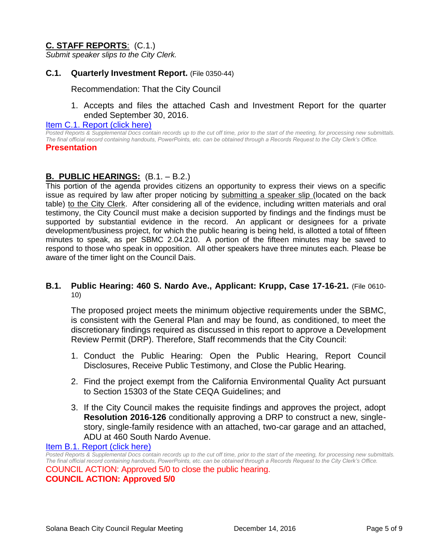#### **C. STAFF REPORTS**: (C.1.)

*Submit speaker slips to the City Clerk.*

#### **C.1. Quarterly Investment Report.** (File 0350-44)

Recommendation: That the City Council

1. Accepts and files the attached Cash and Investment Report for the quarter ended September 30, 2016.

#### [Item C.1. Report \(click here\)](https://solanabeach.govoffice3.com/vertical/Sites/%7B840804C2-F869-4904-9AE3-720581350CE7%7D/uploads/Item_C.1._Report_(click_here)_-_12-14-16.PDF)

*Posted Reports & Supplemental Docs contain records up to the cut off time, prior to the start of the meeting, for processing new submittals. The final official record containing handouts, PowerPoints, etc. can be obtained through a Records Request to the City Clerk's Office.* **Presentation**

#### **B. PUBLIC HEARINGS:** (B.1. – B.2.)

This portion of the agenda provides citizens an opportunity to express their views on a specific issue as required by law after proper noticing by submitting a speaker slip (located on the back table) to the City Clerk. After considering all of the evidence, including written materials and oral testimony, the City Council must make a decision supported by findings and the findings must be supported by substantial evidence in the record. An applicant or designees for a private development/business project, for which the public hearing is being held, is allotted a total of fifteen minutes to speak, as per SBMC 2.04.210. A portion of the fifteen minutes may be saved to respond to those who speak in opposition. All other speakers have three minutes each. Please be aware of the timer light on the Council Dais.

#### **B.1. Public Hearing: 460 S. Nardo Ave., Applicant: Krupp, Case 17-16-21.** (File 0610- 10)

The proposed project meets the minimum objective requirements under the SBMC, is consistent with the General Plan and may be found, as conditioned, to meet the discretionary findings required as discussed in this report to approve a Development Review Permit (DRP). Therefore, Staff recommends that the City Council:

- 1. Conduct the Public Hearing: Open the Public Hearing, Report Council Disclosures, Receive Public Testimony, and Close the Public Hearing.
- 2. Find the project exempt from the California Environmental Quality Act pursuant to Section 15303 of the State CEQA Guidelines; and
- 3. If the City Council makes the requisite findings and approves the project, adopt **Resolution 2016-126** conditionally approving a DRP to construct a new, singlestory, single-family residence with an attached, two-car garage and an attached, ADU at 460 South Nardo Avenue.

[Item B.1. Report \(click here\)](https://solanabeach.govoffice3.com/vertical/Sites/%7B840804C2-F869-4904-9AE3-720581350CE7%7D/uploads/Item_B.1._Report_(click_here)_-_12-14-16_-_R.pdf)

*Posted Reports & Supplemental Docs contain records up to the cut off time, prior to the start of the meeting, for processing new submittals. The final official record containing handouts, PowerPoints, etc. can be obtained through a Records Request to the City Clerk's Office.* COUNCIL ACTION: Approved 5/0 to close the public hearing. **COUNCIL ACTION: Approved 5/0**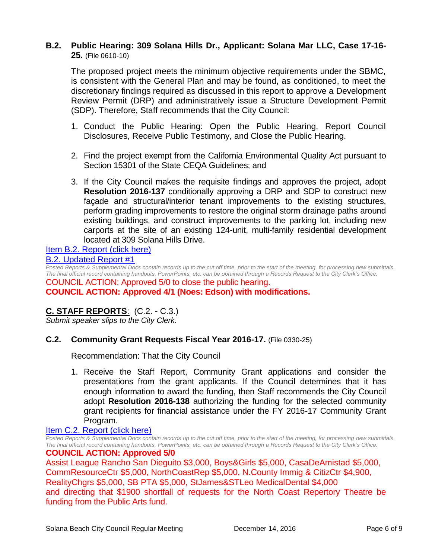#### **B.2. Public Hearing: 309 Solana Hills Dr., Applicant: Solana Mar LLC, Case 17-16- 25.** (File 0610-10)

The proposed project meets the minimum objective requirements under the SBMC, is consistent with the General Plan and may be found, as conditioned, to meet the discretionary findings required as discussed in this report to approve a Development Review Permit (DRP) and administratively issue a Structure Development Permit (SDP). Therefore, Staff recommends that the City Council:

- 1. Conduct the Public Hearing: Open the Public Hearing, Report Council Disclosures, Receive Public Testimony, and Close the Public Hearing.
- 2. Find the project exempt from the California Environmental Quality Act pursuant to Section 15301 of the State CEQA Guidelines; and
- 3. If the City Council makes the requisite findings and approves the project, adopt **Resolution 2016-137** conditionally approving a DRP and SDP to construct new façade and structural/interior tenant improvements to the existing structures, perform grading improvements to restore the original storm drainage paths around existing buildings, and construct improvements to the parking lot, including new carports at the site of an existing 124-unit, multi-family residential development located at 309 Solana Hills Drive.

### [Item B.2. Report \(click here\)](https://solanabeach.govoffice3.com/vertical/Sites/%7B840804C2-F869-4904-9AE3-720581350CE7%7D/uploads/Item_B.2._Report_(click_here)_-_12-14-16.PDF)

#### [B.2. Updated Report #1](https://solanabeach.govoffice3.com/vertical/Sites/%7B840804C2-F869-4904-9AE3-720581350CE7%7D/uploads/B.2._Updated_Report_1_-_12-14-16.pdf)

*Posted Reports & Supplemental Docs contain records up to the cut off time, prior to the start of the meeting, for processing new submittals. The final official record containing handouts, PowerPoints, etc. can be obtained through a Records Request to the City Clerk's Office.* COUNCIL ACTION: Approved 5/0 to close the public hearing. **COUNCIL ACTION: Approved 4/1 (Noes: Edson) with modifications.**

#### **C. STAFF REPORTS**: (C.2. - C.3.)

*Submit speaker slips to the City Clerk.*

#### **C.2. Community Grant Requests Fiscal Year 2016-17.** (File 0330-25)

Recommendation: That the City Council

1. Receive the Staff Report, Community Grant applications and consider the presentations from the grant applicants. If the Council determines that it has enough information to award the funding, then Staff recommends the City Council adopt **Resolution 2016-138** authorizing the funding for the selected community grant recipients for financial assistance under the FY 2016-17 Community Grant Program.

#### [Item C.2. Report \(click here\)](https://solanabeach.govoffice3.com/vertical/Sites/%7B840804C2-F869-4904-9AE3-720581350CE7%7D/uploads/Item_C.2._Report_(click_here)_-_12-14-16.PDF)

*Posted Reports & Supplemental Docs contain records up to the cut off time, prior to the start of the meeting, for processing new submittals. The final official record containing handouts, PowerPoints, etc. can be obtained through a Records Request to the City Clerk's Office.*

#### **COUNCIL ACTION: Approved 5/0**

Assist League Rancho San Dieguito \$3,000, Boys&Girls \$5,000, CasaDeAmistad \$5,000, CommResourceCtr \$5,000, NorthCoastRep \$5,000, N.County Immig & CitizCtr \$4,900, RealityChgrs \$5,000, SB PTA \$5,000, StJames&STLeo MedicalDental \$4,000 and directing that \$1900 shortfall of requests for the North Coast Repertory Theatre be funding from the Public Arts fund.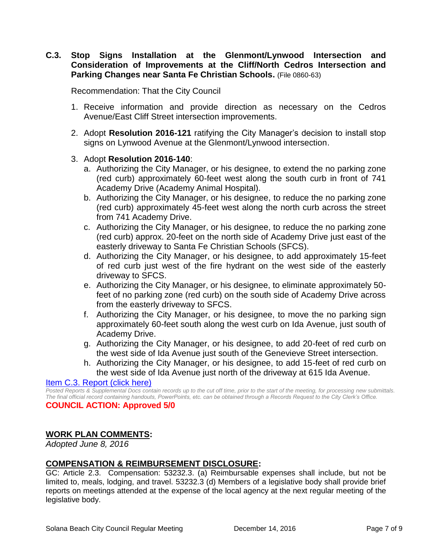**C.3. Stop Signs Installation at the Glenmont/Lynwood Intersection and Consideration of Improvements at the Cliff/North Cedros Intersection and Parking Changes near Santa Fe Christian Schools.** (File 0860-63)

Recommendation: That the City Council

- 1. Receive information and provide direction as necessary on the Cedros Avenue/East Cliff Street intersection improvements.
- 2. Adopt **Resolution 2016-121** ratifying the City Manager's decision to install stop signs on Lynwood Avenue at the Glenmont/Lynwood intersection.

#### 3. Adopt **Resolution 2016-140**:

- a. Authorizing the City Manager, or his designee, to extend the no parking zone (red curb) approximately 60-feet west along the south curb in front of 741 Academy Drive (Academy Animal Hospital).
- b. Authorizing the City Manager, or his designee, to reduce the no parking zone (red curb) approximately 45-feet west along the north curb across the street from 741 Academy Drive.
- c. Authorizing the City Manager, or his designee, to reduce the no parking zone (red curb) approx. 20-feet on the north side of Academy Drive just east of the easterly driveway to Santa Fe Christian Schools (SFCS).
- d. Authorizing the City Manager, or his designee, to add approximately 15-feet of red curb just west of the fire hydrant on the west side of the easterly driveway to SFCS.
- e. Authorizing the City Manager, or his designee, to eliminate approximately 50 feet of no parking zone (red curb) on the south side of Academy Drive across from the easterly driveway to SFCS.
- f. Authorizing the City Manager, or his designee, to move the no parking sign approximately 60-feet south along the west curb on Ida Avenue, just south of Academy Drive.
- g. Authorizing the City Manager, or his designee, to add 20-feet of red curb on the west side of Ida Avenue just south of the Genevieve Street intersection.
- h. Authorizing the City Manager, or his designee, to add 15-feet of red curb on the west side of Ida Avenue just north of the driveway at 615 Ida Avenue.

[Item C.3. Report \(click here\)](https://solanabeach.govoffice3.com/vertical/Sites/%7B840804C2-F869-4904-9AE3-720581350CE7%7D/uploads/Item_C.3._Report_(click_here)_-_12-14-16.PDF)

*Posted Reports & Supplemental Docs contain records up to the cut off time, prior to the start of the meeting, for processing new submittals. The final official record containing handouts, PowerPoints, etc. can be obtained through a Records Request to the City Clerk's Office.* **COUNCIL ACTION: Approved 5/0**

#### **WORK PLAN COMMENTS:**

*Adopted June 8, 2016*

#### **COMPENSATION & REIMBURSEMENT DISCLOSURE:**

GC: Article 2.3. Compensation: 53232.3. (a) Reimbursable expenses shall include, but not be limited to, meals, lodging, and travel. 53232.3 (d) Members of a legislative body shall provide brief reports on meetings attended at the expense of the local agency at the next regular meeting of the legislative body.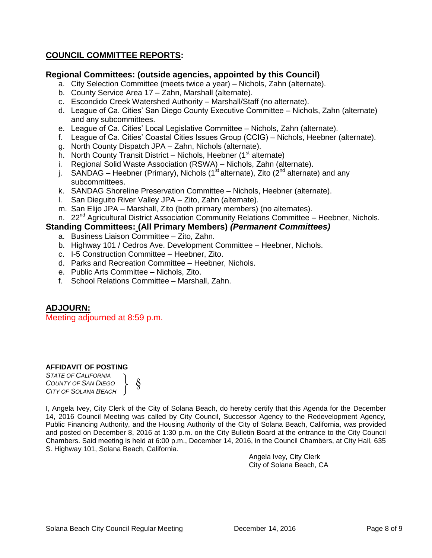#### **COUNCIL COMMITTEE REPORTS:**

#### **Regional Committees: (outside agencies, appointed by this Council)**

- a. City Selection Committee (meets twice a year) Nichols, Zahn (alternate).
- b. County Service Area 17 Zahn, Marshall (alternate).
- c. Escondido Creek Watershed Authority Marshall/Staff (no alternate).
- d. League of Ca. Cities' San Diego County Executive Committee Nichols, Zahn (alternate) and any subcommittees.
- e. League of Ca. Cities' Local Legislative Committee Nichols, Zahn (alternate).
- f. League of Ca. Cities' Coastal Cities Issues Group (CCIG) Nichols, Heebner (alternate).
- g. North County Dispatch JPA Zahn, Nichols (alternate).
- h. North County Transit District Nichols, Heebner  $(1<sup>st</sup>$  alternate)
- i. Regional Solid Waste Association (RSWA) Nichols, Zahn (alternate).
- j. SANDAG Heebner (Primary), Nichols (1<sup>st</sup> alternate), Zito (2<sup>nd</sup> alternate) and any subcommittees.
- k. SANDAG Shoreline Preservation Committee Nichols, Heebner (alternate).
- l. San Dieguito River Valley JPA Zito, Zahn (alternate).
- m. San Elijo JPA Marshall, Zito (both primary members) (no alternates).
- n. 22<sup>nd</sup> Agricultural District Association Community Relations Committee Heebner, Nichols.

#### **Standing Committees: (All Primary Members)** *(Permanent Committees)*

- a. Business Liaison Committee Zito, Zahn.
- b. Highway 101 / Cedros Ave. Development Committee Heebner, Nichols.
- c. I-5 Construction Committee Heebner, Zito.
- d. Parks and Recreation Committee Heebner, Nichols.
- e. Public Arts Committee Nichols, Zito.
- f. School Relations Committee Marshall, Zahn.

#### **ADJOURN:**

Meeting adjourned at 8:59 p.m.

#### **AFFIDAVIT OF POSTING**

*STATE OF CALIFORNIA COUNTY OF SAN DIEGO CITY OF SOLANA BEACH* §

I, Angela Ivey, City Clerk of the City of Solana Beach, do hereby certify that this Agenda for the December 14, 2016 Council Meeting was called by City Council, Successor Agency to the Redevelopment Agency, Public Financing Authority, and the Housing Authority of the City of Solana Beach, California, was provided and posted on December 8, 2016 at 1:30 p.m. on the City Bulletin Board at the entrance to the City Council Chambers. Said meeting is held at 6:00 p.m., December 14, 2016, in the Council Chambers, at City Hall, 635 S. Highway 101, Solana Beach, California.

> Angela Ivey, City Clerk City of Solana Beach, CA